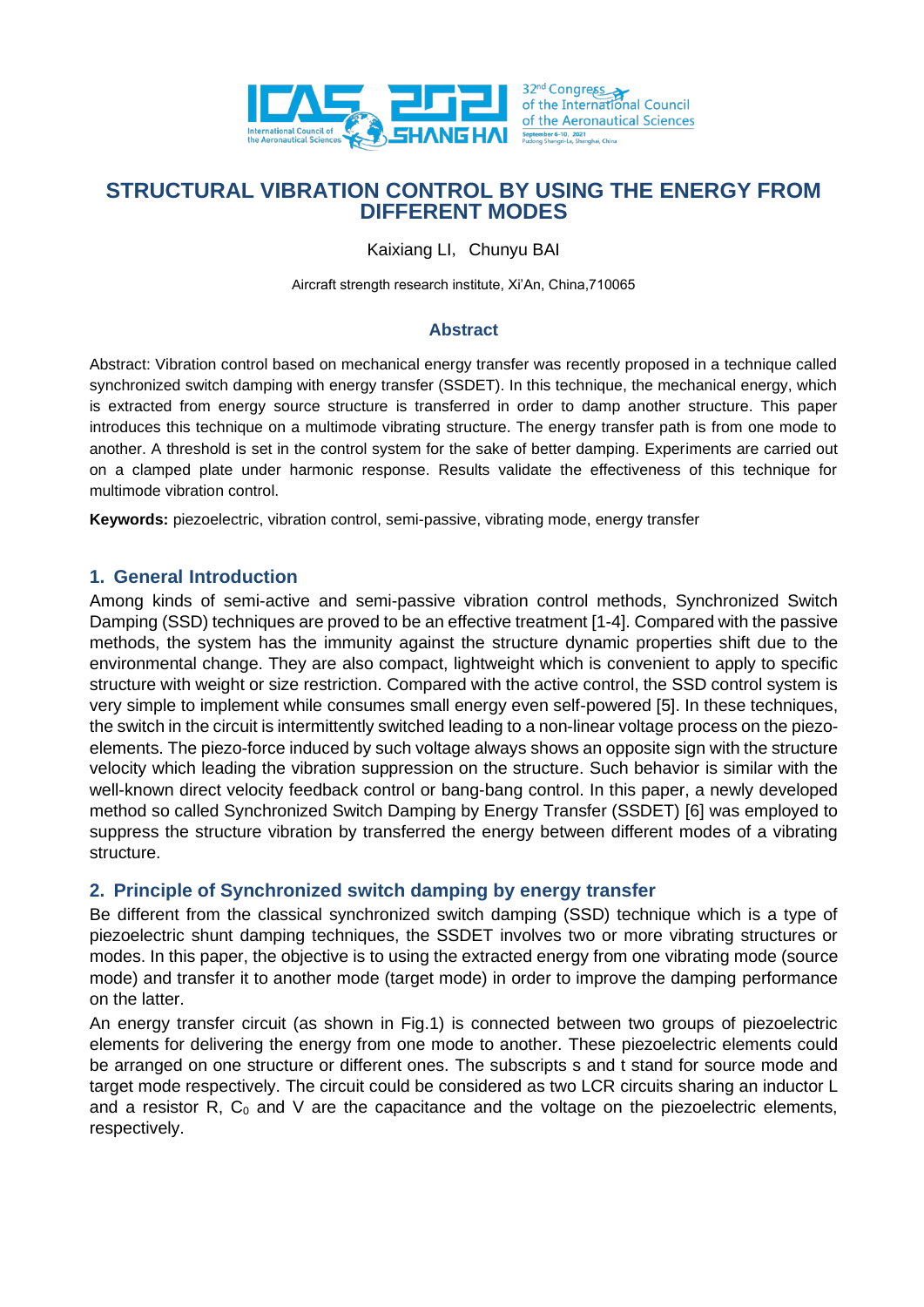

# **STRUCTURAL VIBRATION CONTROL BY USING THE ENERGY FROM DIFFERENT MODES**

Kaixiang LI, Chunyu BAI

Aircraft strength research institute, Xi'An, China,710065

#### **Abstract**

Abstract: Vibration control based on mechanical energy transfer was recently proposed in a technique called synchronized switch damping with energy transfer (SSDET). In this technique, the mechanical energy, which is extracted from energy source structure is transferred in order to damp another structure. This paper introduces this technique on a multimode vibrating structure. The energy transfer path is from one mode to another. A threshold is set in the control system for the sake of better damping. Experiments are carried out on a clamped plate under harmonic response. Results validate the effectiveness of this technique for multimode vibration control.

**Keywords:** piezoelectric, vibration control, semi-passive, vibrating mode, energy transfer

### **1. General Introduction**

Among kinds of semi-active and semi-passive vibration control methods, Synchronized Switch Damping (SSD) techniques are proved to be an effective treatment [1-4]. Compared with the passive methods, the system has the immunity against the structure dynamic properties shift due to the environmental change. They are also compact, lightweight which is convenient to apply to specific structure with weight or size restriction. Compared with the active control, the SSD control system is very simple to implement while consumes small energy even self-powered [5]. In these techniques, the switch in the circuit is intermittently switched leading to a non-linear voltage process on the piezoelements. The piezo-force induced by such voltage always shows an opposite sign with the structure velocity which leading the vibration suppression on the structure. Such behavior is similar with the well-known direct velocity feedback control or bang-bang control. In this paper, a newly developed method so called Synchronized Switch Damping by Energy Transfer (SSDET) [6] was employed to suppress the structure vibration by transferred the energy between different modes of a vibrating structure.

## **2. Principle of Synchronized switch damping by energy transfer**

Be different from the classical synchronized switch damping (SSD) technique which is a type of piezoelectric shunt damping techniques, the SSDET involves two or more vibrating structures or modes. In this paper, the objective is to using the extracted energy from one vibrating mode (source mode) and transfer it to another mode (target mode) in order to improve the damping performance on the latter.

An energy transfer circuit (as shown in Fig.1) is connected between two groups of piezoelectric elements for delivering the energy from one mode to another. These piezoelectric elements could be arranged on one structure or different ones. The subscripts s and t stand for source mode and target mode respectively. The circuit could be considered as two LCR circuits sharing an inductor L and a resistor R,  $C_0$  and V are the capacitance and the voltage on the piezoelectric elements, respectively.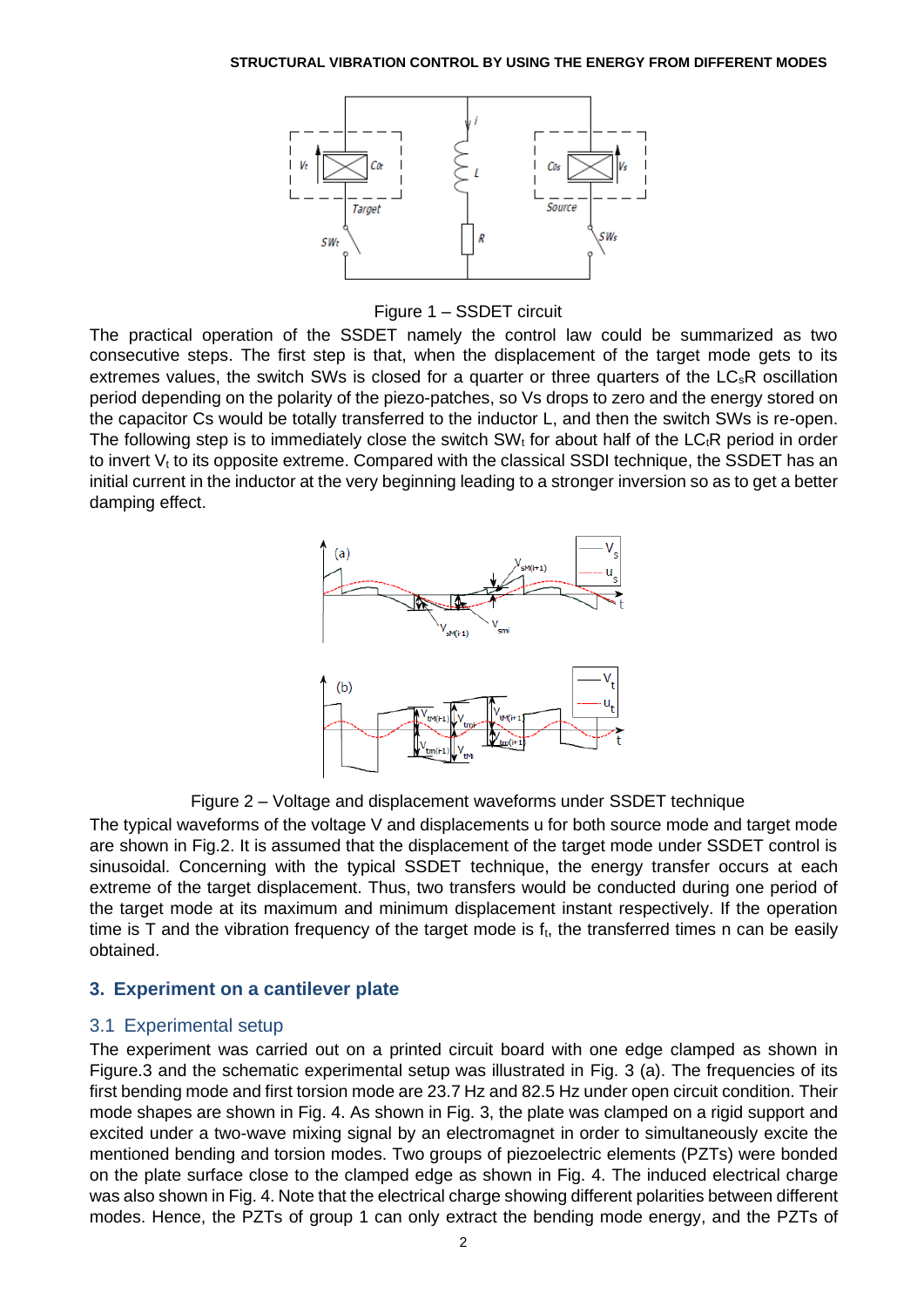

Figure 1 – SSDET circuit

The practical operation of the SSDET namely the control law could be summarized as two consecutive steps. The first step is that, when the displacement of the target mode gets to its extremes values, the switch SWs is closed for a quarter or three quarters of the  $LC_sR$  oscillation period depending on the polarity of the piezo-patches, so Vs drops to zero and the energy stored on the capacitor Cs would be totally transferred to the inductor L, and then the switch SWs is re-open. The following step is to immediately close the switch  $SW_t$  for about half of the LC<sub>t</sub>R period in order to invert  $V<sub>t</sub>$  to its opposite extreme. Compared with the classical SSDI technique, the SSDET has an initial current in the inductor at the very beginning leading to a stronger inversion so as to get a better damping effect.





The typical waveforms of the voltage V and displacements u for both source mode and target mode are shown in Fig.2. It is assumed that the displacement of the target mode under SSDET control is sinusoidal. Concerning with the typical SSDET technique, the energy transfer occurs at each extreme of the target displacement. Thus, two transfers would be conducted during one period of the target mode at its maximum and minimum displacement instant respectively. If the operation time is  $T$  and the vibration frequency of the target mode is  $f_t$ , the transferred times n can be easily obtained.

## **3. Experiment on a cantilever plate**

### 3.1 Experimental setup

The experiment was carried out on a printed circuit board with one edge clamped as shown in Figure.3 and the schematic experimental setup was illustrated in Fig. 3 (a). The frequencies of its first bending mode and first torsion mode are 23.7 Hz and 82.5 Hz under open circuit condition. Their mode shapes are shown in Fig. 4. As shown in Fig. 3, the plate was clamped on a rigid support and excited under a two-wave mixing signal by an electromagnet in order to simultaneously excite the mentioned bending and torsion modes. Two groups of piezoelectric elements (PZTs) were bonded on the plate surface close to the clamped edge as shown in Fig. 4. The induced electrical charge was also shown in Fig. 4. Note that the electrical charge showing different polarities between different modes. Hence, the PZTs of group 1 can only extract the bending mode energy, and the PZTs of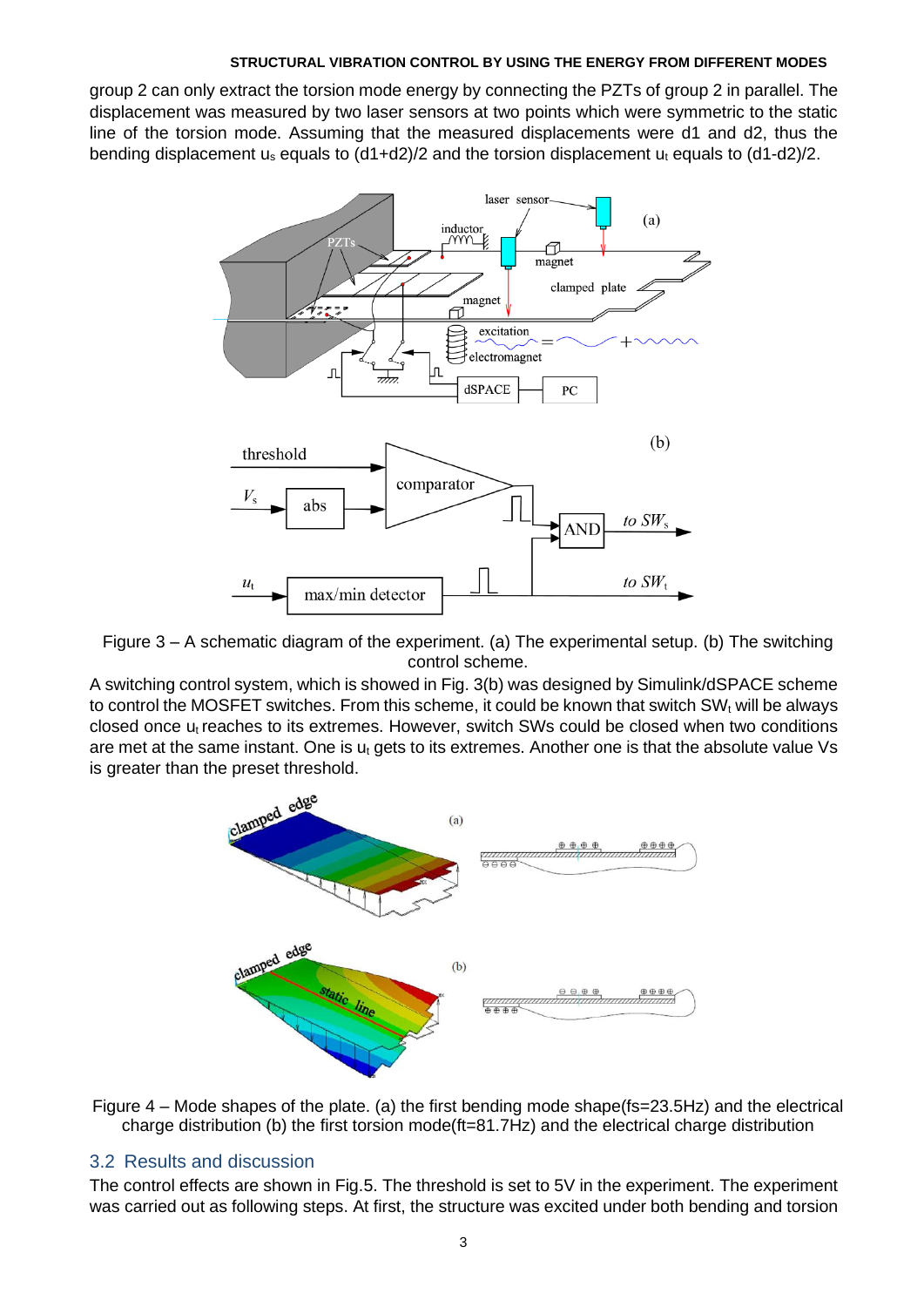#### **STRUCTURAL VIBRATION CONTROL BY USING THE ENERGY FROM DIFFERENT MODES**

group 2 can only extract the torsion mode energy by connecting the PZTs of group 2 in parallel. The displacement was measured by two laser sensors at two points which were symmetric to the static line of the torsion mode. Assuming that the measured displacements were d1 and d2, thus the bending displacement  $u_s$  equals to  $(d1+d2)/2$  and the torsion displacement  $u_t$  equals to  $(d1-d2)/2$ .



Figure 3 – A schematic diagram of the experiment. (a) The experimental setup. (b) The switching control scheme.

A switching control system, which is showed in Fig. 3(b) was designed by Simulink/dSPACE scheme to control the MOSFET switches. From this scheme, it could be known that switch  $SW<sub>t</sub>$  will be always closed once  $u_t$  reaches to its extremes. However, switch SWs could be closed when two conditions are met at the same instant. One is  $u_t$  gets to its extremes. Another one is that the absolute value Vs is greater than the preset threshold.



Figure 4 – Mode shapes of the plate. (a) the first bending mode shape(fs=23.5Hz) and the electrical charge distribution (b) the first torsion mode(ft=81.7Hz) and the electrical charge distribution

### 3.2 Results and discussion

The control effects are shown in Fig.5. The threshold is set to 5V in the experiment. The experiment was carried out as following steps. At first, the structure was excited under both bending and torsion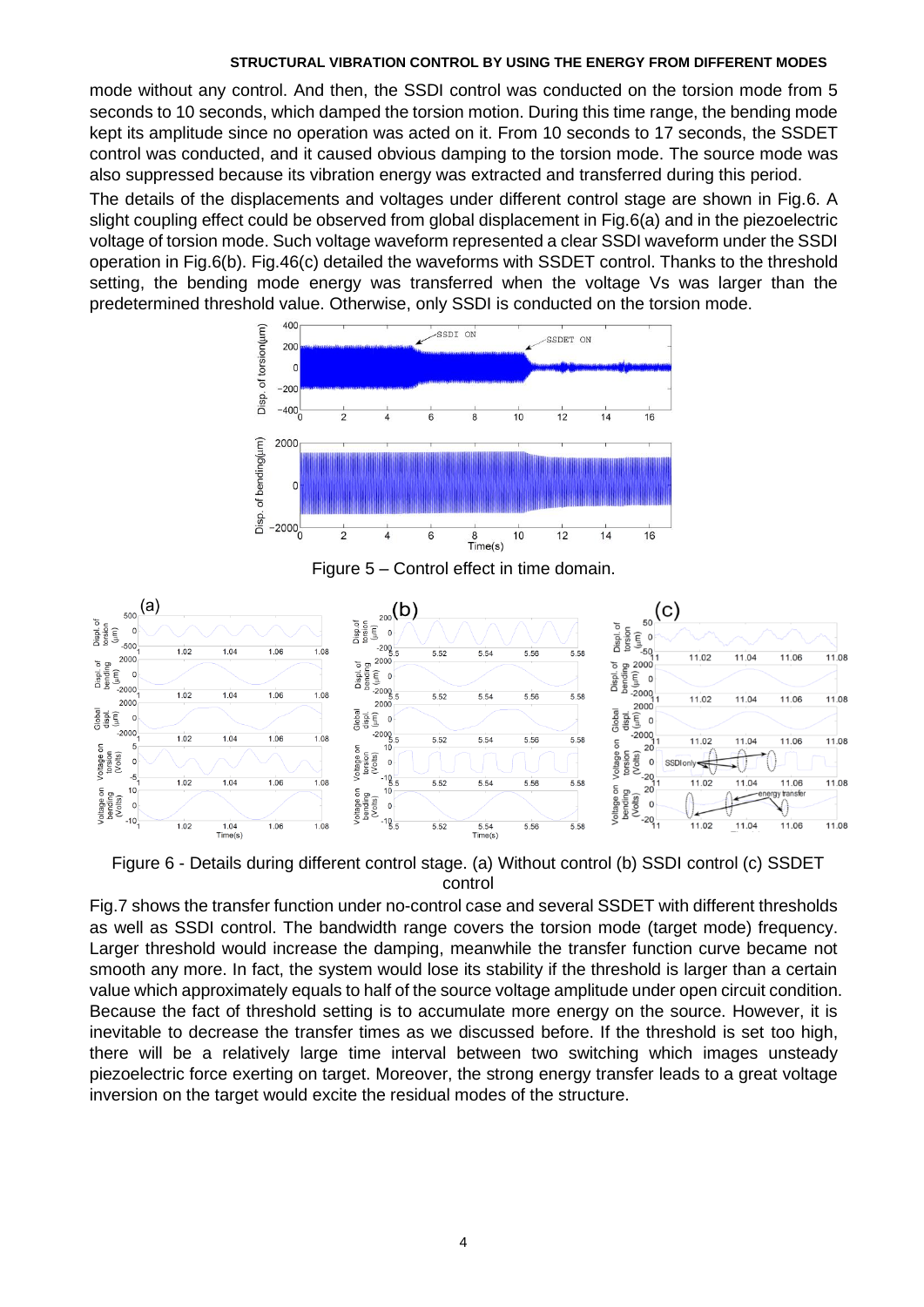#### **STRUCTURAL VIBRATION CONTROL BY USING THE ENERGY FROM DIFFERENT MODES**

mode without any control. And then, the SSDI control was conducted on the torsion mode from 5 seconds to 10 seconds, which damped the torsion motion. During this time range, the bending mode kept its amplitude since no operation was acted on it. From 10 seconds to 17 seconds, the SSDET control was conducted, and it caused obvious damping to the torsion mode. The source mode was also suppressed because its vibration energy was extracted and transferred during this period.

The details of the displacements and voltages under different control stage are shown in Fig.6. A slight coupling effect could be observed from global displacement in Fig.6(a) and in the piezoelectric voltage of torsion mode. Such voltage waveform represented a clear SSDI waveform under the SSDI operation in Fig.6(b). Fig.46(c) detailed the waveforms with SSDET control. Thanks to the threshold setting, the bending mode energy was transferred when the voltage Vs was larger than the predetermined threshold value. Otherwise, only SSDI is conducted on the torsion mode.



Figure 5 – Control effect in time domain.



Figure 6 - Details during different control stage. (a) Without control (b) SSDI control (c) SSDET control

Fig.7 shows the transfer function under no-control case and several SSDET with different thresholds as well as SSDI control. The bandwidth range covers the torsion mode (target mode) frequency. Larger threshold would increase the damping, meanwhile the transfer function curve became not smooth any more. In fact, the system would lose its stability if the threshold is larger than a certain value which approximately equals to half of the source voltage amplitude under open circuit condition. Because the fact of threshold setting is to accumulate more energy on the source. However, it is inevitable to decrease the transfer times as we discussed before. If the threshold is set too high, there will be a relatively large time interval between two switching which images unsteady piezoelectric force exerting on target. Moreover, the strong energy transfer leads to a great voltage inversion on the target would excite the residual modes of the structure.